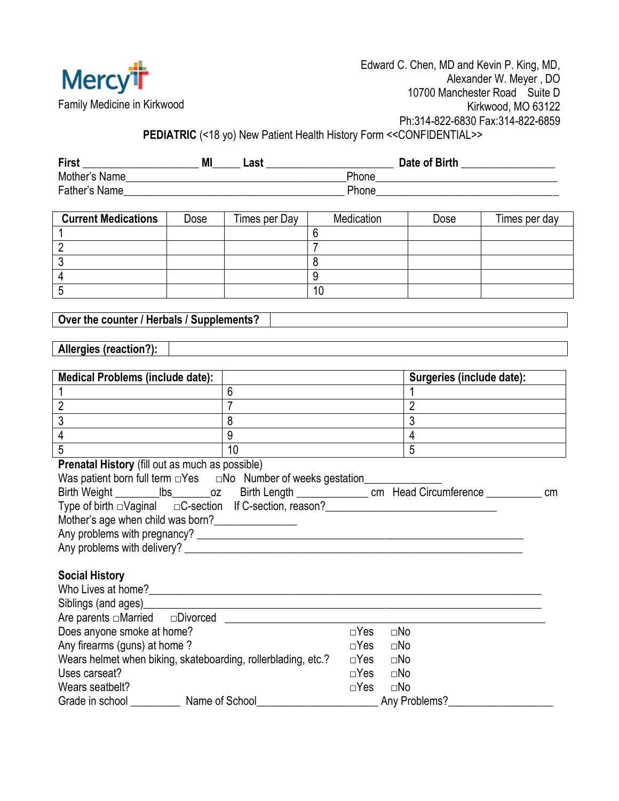

**PEDIATRIC** (<18 yo) New Patient Health History Form <<CONFIDENTIAL>>

| <b>First</b>  | M | Last  | Date of Birth |
|---------------|---|-------|---------------|
| Mother's Name |   | Phone |               |
| Father's Name |   | Phone |               |

| <b>Current Medications</b> | Dose | Times per Day | Medication | Dose | Times per day |
|----------------------------|------|---------------|------------|------|---------------|
|                            |      |               |            |      |               |
|                            |      |               |            |      |               |
|                            |      |               |            |      |               |
|                            |      |               |            |      |               |
|                            |      |               | 10         |      |               |

**Over the counter / Herbals / Supplements?**

## **Allergies (reaction?):**

| Medical Problems (include date):                                               |    | Surgeries (include date): |
|--------------------------------------------------------------------------------|----|---------------------------|
|                                                                                |    |                           |
|                                                                                |    |                           |
|                                                                                |    |                           |
|                                                                                |    |                           |
| 5                                                                              | 10 | 5                         |
| <b>Prenatal History</b> (fill out as much as possible)                         |    |                           |
| Was patient born full term $\Box$ Yes $\Box$ No Number of weeks gestation_____ |    |                           |
|                                                                                |    |                           |
| Type of birth □Vaginal □C-section If C-section, reason?                        |    |                           |
| Mother's age when child was born?                                              |    |                           |
| Any problems with pregnancy?                                                   |    |                           |

## **Social History**

| <b>UVVIDELING</b>                                             |                            |
|---------------------------------------------------------------|----------------------------|
| Who Lives at home?                                            |                            |
| Siblings (and ages)                                           |                            |
| Are parents $\Box$ Married $\Box$ Divorced                    |                            |
| Does anyone smoke at home?                                    | $\Box$ Yes<br>$\square$ No |
| Any firearms (guns) at home?                                  | $\Box$ Yes<br>$\square$ No |
| Wears helmet when biking, skateboarding, rollerblading, etc.? | $\Box$ Yes<br>$\square$ No |
| Uses carseat?                                                 | $\Box$ Yes<br>$\square$ No |
| Wears seatbelt?                                               | $\Box$ Yes<br>$\square$ No |
| Name of School<br>Grade in school                             | Any Problems?              |

Any problems with delivery? \_\_\_\_\_\_\_\_\_\_\_\_\_\_\_\_\_\_\_\_\_\_\_\_\_\_\_\_\_\_\_\_\_\_\_\_\_\_\_\_\_\_\_\_\_\_\_\_\_\_\_\_\_\_\_\_\_\_\_\_\_